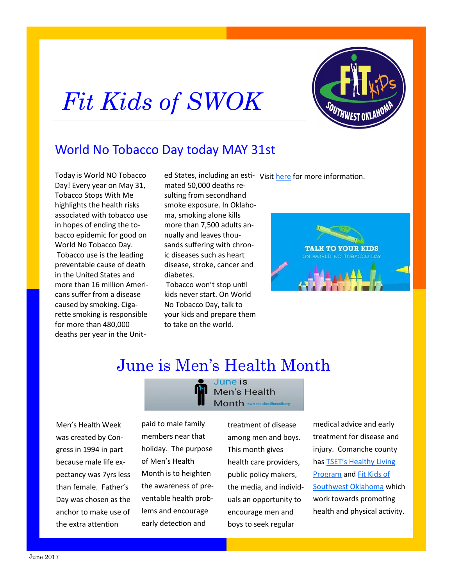



## World No Tobacco Day today MAY 31st

Today is World NO Tobacco Day! Every year on May 31, Tobacco Stops With Me highlights the health risks associated with tobacco use in hopes of ending the tobacco epidemic for good on World No Tobacco Day. Tobacco use is the leading preventable cause of death in the United States and more than 16 million Americans suffer from a disease caused by smoking. Cigarette smoking is responsible for more than 480,000 deaths per year in the Unit-

mated 50,000 deaths resulting from secondhand smoke exposure. In Oklahoma, smoking alone kills more than 7,500 adults annually and leaves thousands suffering with chronic diseases such as heart disease, stroke, cancer and diabetes.

Tobacco won't stop until kids never start. On World No Tobacco Day, talk to your kids and prepare them to take on the world.

ed States, including an esti- Visit [here](http://stopswithme.com/make-time-talk-kids-dangers-tobacco/?utm_source=Email&utm_medium=Email&utm_campaign=May%20Newsletter&utm_content=Fairview%20PR) for more information.



# June is Men's Health Month

lune is

Men's Health Month www.menshealthmonth.org

Men's Health Week was created by Congress in 1994 in part because male life expectancy was 7yrs less than female. Father's Day was chosen as the anchor to make use of the extra attention

paid to male family members near that holiday. The purpose of Men's Health Month is to heighten the awareness of preventable health problems and encourage early detection and

treatment of disease among men and boys. This month gives health care providers, public policy makers, the media, and individuals an opportunity to encourage men and boys to seek regular

medical advice and early treatment for disease and injury. Comanche county has [TSET's Healthy Living](https://www.facebook.com/TSETHLPComanche/)  [Program](https://www.facebook.com/TSETHLPComanche/) and [Fit Kids of](https://www.facebook.com/FitKidsofSWOK/)  [Southwest Oklahoma](https://www.facebook.com/FitKidsofSWOK/) which work towards promoting health and physical activity.